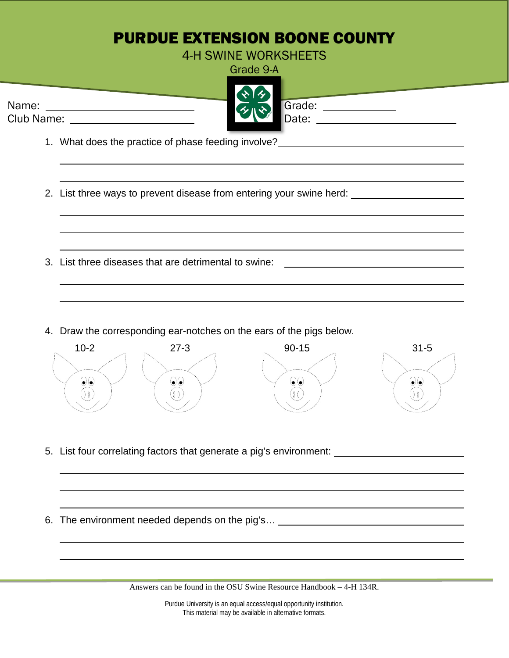## PURDUE EXTENSION BOONE COUNTY

4-H SWINE WORKSHEETS

Grade 9-A



Club Name: Date: Date: Date: Date: Date: Date: Date: Date: Date: Date: Date: Date: Date: Date: Date: Date: Date: Date: Date: Date: Date: Date: Date: Date: Date: Date: Date: Date: Date: Date: Date: Date: Date: Date: Date: D

1. What does the practice of phase feeding involve?

2. List three ways to prevent disease from entering your swine herd:

- 3. List three diseases that are detrimental to swine:
- 4. Draw the corresponding ear-notches on the ears of the pigs below.



- 5. List four correlating factors that generate a pig's environment:
- 6. The environment needed depends on the pig's…

Answers can be found in the OSU Swine Resource Handbook – 4-H 134R.

Purdue University is an equal access/equal opportunity institution. This material may be available in alternative formats.